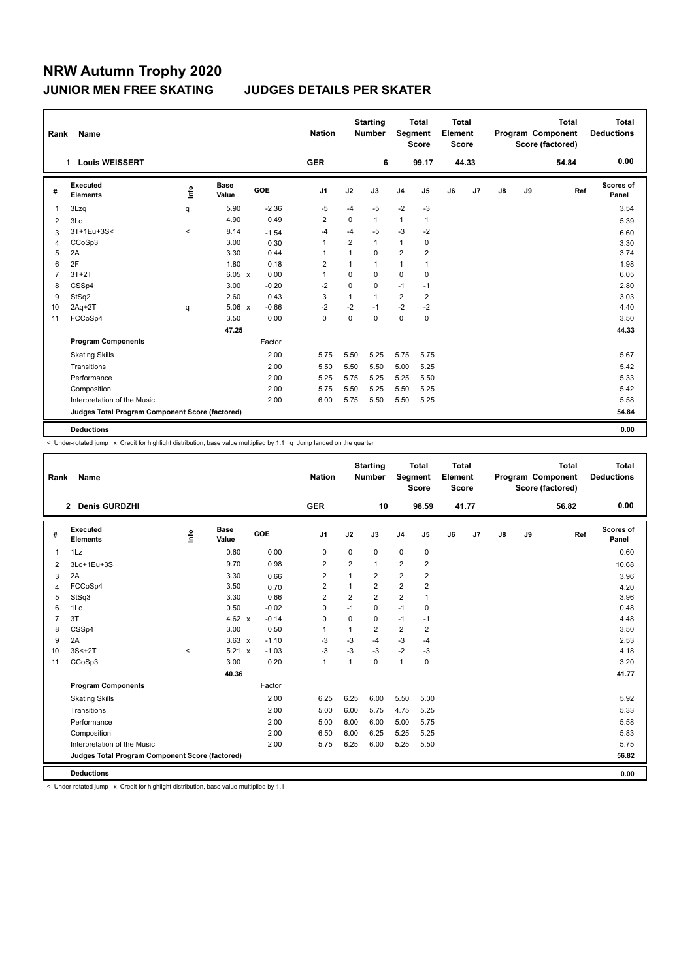| Rank           | Name                                            |         |               |            | <b>Nation</b>  |                | <b>Starting</b><br><b>Number</b> | <b>Segment</b> | <b>Total</b><br><b>Score</b> | <b>Total</b><br>Element<br><b>Score</b> |                |               |    | <b>Total</b><br>Program Component<br>Score (factored) | <b>Total</b><br><b>Deductions</b> |
|----------------|-------------------------------------------------|---------|---------------|------------|----------------|----------------|----------------------------------|----------------|------------------------------|-----------------------------------------|----------------|---------------|----|-------------------------------------------------------|-----------------------------------|
|                | <b>Louis WEISSERT</b><br>1.                     |         |               |            | <b>GER</b>     |                | 6                                |                | 99.17                        |                                         | 44.33          |               |    | 54.84                                                 | 0.00                              |
| #              | Executed<br><b>Elements</b>                     | lnfo    | Base<br>Value | <b>GOE</b> | J <sub>1</sub> | J2             | J3                               | J <sub>4</sub> | J <sub>5</sub>               | J6                                      | J <sub>7</sub> | $\mathsf{J}8$ | J9 | Ref                                                   | Scores of<br>Panel                |
| $\mathbf{1}$   | 3Lzq                                            | q       | 5.90          | $-2.36$    | $-5$           | $-4$           | $-5$                             | $-2$           | $-3$                         |                                         |                |               |    |                                                       | 3.54                              |
| 2              | 3Lo                                             |         | 4.90          | 0.49       | $\overline{2}$ | $\Omega$       | $\mathbf{1}$                     | $\mathbf{1}$   | $\mathbf{1}$                 |                                         |                |               |    |                                                       | 5.39                              |
| 3              | 3T+1Eu+3S<                                      | $\prec$ | 8.14          | $-1.54$    | $-4$           | $-4$           | $-5$                             | $-3$           | $-2$                         |                                         |                |               |    |                                                       | 6.60                              |
| 4              | CCoSp3                                          |         | 3.00          | 0.30       | $\mathbf{1}$   | $\overline{2}$ | 1                                | $\mathbf{1}$   | $\mathbf 0$                  |                                         |                |               |    |                                                       | 3.30                              |
| 5              | 2A                                              |         | 3.30          | 0.44       | $\mathbf 1$    | 1              | $\Omega$                         | $\overline{2}$ | $\overline{2}$               |                                         |                |               |    |                                                       | 3.74                              |
| 6              | 2F                                              |         | 1.80          | 0.18       | $\overline{2}$ | $\mathbf{1}$   | 1                                | $\overline{1}$ | $\mathbf{1}$                 |                                         |                |               |    |                                                       | 1.98                              |
| $\overline{7}$ | $3T+2T$                                         |         | 6.05 x        | 0.00       | $\mathbf{1}$   | $\Omega$       | 0                                | $\mathbf 0$    | $\mathbf 0$                  |                                         |                |               |    |                                                       | 6.05                              |
| 8              | CSSp4                                           |         | 3.00          | $-0.20$    | $-2$           | $\Omega$       | 0                                | $-1$           | $-1$                         |                                         |                |               |    |                                                       | 2.80                              |
| 9              | StSq2                                           |         | 2.60          | 0.43       | 3              | 1              | 1                                | $\overline{2}$ | $\overline{2}$               |                                         |                |               |    |                                                       | 3.03                              |
| 10             | $2Aq+2T$                                        | q       | $5.06 \times$ | $-0.66$    | $-2$           | $-2$           | $-1$                             | $-2$           | $-2$                         |                                         |                |               |    |                                                       | 4.40                              |
| 11             | FCCoSp4                                         |         | 3.50          | 0.00       | $\mathbf 0$    | $\mathbf 0$    | 0                                | $\mathbf 0$    | $\mathbf 0$                  |                                         |                |               |    |                                                       | 3.50                              |
|                |                                                 |         | 47.25         |            |                |                |                                  |                |                              |                                         |                |               |    |                                                       | 44.33                             |
|                | <b>Program Components</b>                       |         |               | Factor     |                |                |                                  |                |                              |                                         |                |               |    |                                                       |                                   |
|                | <b>Skating Skills</b>                           |         |               | 2.00       | 5.75           | 5.50           | 5.25                             | 5.75           | 5.75                         |                                         |                |               |    |                                                       | 5.67                              |
|                | Transitions                                     |         |               | 2.00       | 5.50           | 5.50           | 5.50                             | 5.00           | 5.25                         |                                         |                |               |    |                                                       | 5.42                              |
|                | Performance                                     |         |               | 2.00       | 5.25           | 5.75           | 5.25                             | 5.25           | 5.50                         |                                         |                |               |    |                                                       | 5.33                              |
|                | Composition                                     |         |               | 2.00       | 5.75           | 5.50           | 5.25                             | 5.50           | 5.25                         |                                         |                |               |    |                                                       | 5.42                              |
|                | Interpretation of the Music                     |         |               | 2.00       | 6.00           | 5.75           | 5.50                             | 5.50           | 5.25                         |                                         |                |               |    |                                                       | 5.58                              |
|                | Judges Total Program Component Score (factored) |         |               |            |                |                |                                  |                |                              |                                         |                |               |    |                                                       | 54.84                             |
|                | <b>Deductions</b>                               |         |               |            |                |                |                                  |                |                              |                                         |                |               |    |                                                       | 0.00                              |

< Under-rotated jump x Credit for highlight distribution, base value multiplied by 1.1 q Jump landed on the quarter

| Rank           | Name                                            |         |                      |            | <b>Nation</b>  |                | <b>Starting</b><br><b>Number</b> | <b>Segment</b> | <b>Total</b><br><b>Score</b> | <b>Total</b><br>Element<br><b>Score</b> |                |               |    | <b>Total</b><br>Program Component<br>Score (factored) | <b>Total</b><br><b>Deductions</b> |
|----------------|-------------------------------------------------|---------|----------------------|------------|----------------|----------------|----------------------------------|----------------|------------------------------|-----------------------------------------|----------------|---------------|----|-------------------------------------------------------|-----------------------------------|
|                | <b>Denis GURDZHI</b><br>$\mathbf{2}$            |         |                      |            | <b>GER</b>     |                | 10                               |                | 98.59                        |                                         | 41.77          |               |    | 56.82                                                 | 0.00                              |
| #              | Executed<br><b>Elements</b>                     | lnfo    | <b>Base</b><br>Value | <b>GOE</b> | J <sub>1</sub> | J2             | J3                               | J <sub>4</sub> | J <sub>5</sub>               | J6                                      | J <sub>7</sub> | $\mathsf{J}8$ | J9 | Ref                                                   | Scores of<br>Panel                |
| $\mathbf{1}$   | 1Lz                                             |         | 0.60                 | 0.00       | 0              | 0              | 0                                | $\mathbf 0$    | $\mathbf 0$                  |                                         |                |               |    |                                                       | 0.60                              |
| 2              | 3Lo+1Eu+3S                                      |         | 9.70                 | 0.98       | $\overline{2}$ | $\overline{2}$ | 1                                | $\overline{2}$ | $\overline{2}$               |                                         |                |               |    |                                                       | 10.68                             |
| 3              | 2A                                              |         | 3.30                 | 0.66       | $\overline{2}$ | 1              | $\overline{2}$                   | $\overline{2}$ | $\overline{2}$               |                                         |                |               |    |                                                       | 3.96                              |
| $\overline{4}$ | FCCoSp4                                         |         | 3.50                 | 0.70       | $\overline{2}$ | $\mathbf{1}$   | $\overline{2}$                   | $\overline{2}$ | $\overline{2}$               |                                         |                |               |    |                                                       | 4.20                              |
| 5              | StSq3                                           |         | 3.30                 | 0.66       | $\overline{2}$ | $\overline{2}$ | $\overline{2}$                   | $\overline{2}$ | $\mathbf{1}$                 |                                         |                |               |    |                                                       | 3.96                              |
| 6              | 1Lo                                             |         | 0.50                 | $-0.02$    | $\mathbf 0$    | $-1$           | $\Omega$                         | $-1$           | 0                            |                                         |                |               |    |                                                       | 0.48                              |
| $\overline{7}$ | 3T                                              |         | 4.62 $x$             | $-0.14$    | 0              | 0              | 0                                | $-1$           | $-1$                         |                                         |                |               |    |                                                       | 4.48                              |
| 8              | CSSp4                                           |         | 3.00                 | 0.50       | $\overline{1}$ | $\mathbf{1}$   | $\overline{2}$                   | $\overline{2}$ | $\overline{2}$               |                                         |                |               |    |                                                       | 3.50                              |
| 9              | 2A                                              |         | $3.63 \times$        | $-1.10$    | $-3$           | $-3$           | $-4$                             | $-3$           | $-4$                         |                                         |                |               |    |                                                       | 2.53                              |
| 10             | $3S<+2T$                                        | $\prec$ | 5.21<br>$\mathbf{x}$ | $-1.03$    | $-3$           | $-3$           | $-3$                             | $-2$           | $-3$                         |                                         |                |               |    |                                                       | 4.18                              |
| 11             | CCoSp3                                          |         | 3.00                 | 0.20       | $\mathbf{1}$   | $\mathbf{1}$   | 0                                | $\mathbf{1}$   | $\mathbf 0$                  |                                         |                |               |    |                                                       | 3.20                              |
|                |                                                 |         | 40.36                |            |                |                |                                  |                |                              |                                         |                |               |    |                                                       | 41.77                             |
|                | <b>Program Components</b>                       |         |                      | Factor     |                |                |                                  |                |                              |                                         |                |               |    |                                                       |                                   |
|                | <b>Skating Skills</b>                           |         |                      | 2.00       | 6.25           | 6.25           | 6.00                             | 5.50           | 5.00                         |                                         |                |               |    |                                                       | 5.92                              |
|                | Transitions                                     |         |                      | 2.00       | 5.00           | 6.00           | 5.75                             | 4.75           | 5.25                         |                                         |                |               |    |                                                       | 5.33                              |
|                | Performance                                     |         |                      | 2.00       | 5.00           | 6.00           | 6.00                             | 5.00           | 5.75                         |                                         |                |               |    |                                                       | 5.58                              |
|                | Composition                                     |         |                      | 2.00       | 6.50           | 6.00           | 6.25                             | 5.25           | 5.25                         |                                         |                |               |    |                                                       | 5.83                              |
|                | Interpretation of the Music                     |         |                      | 2.00       | 5.75           | 6.25           | 6.00                             | 5.25           | 5.50                         |                                         |                |               |    |                                                       | 5.75                              |
|                | Judges Total Program Component Score (factored) |         |                      |            |                |                |                                  |                |                              |                                         |                |               |    |                                                       | 56.82                             |
|                | <b>Deductions</b>                               |         |                      |            |                |                |                                  |                |                              |                                         |                |               |    |                                                       | 0.00                              |

< Under-rotated jump x Credit for highlight distribution, base value multiplied by 1.1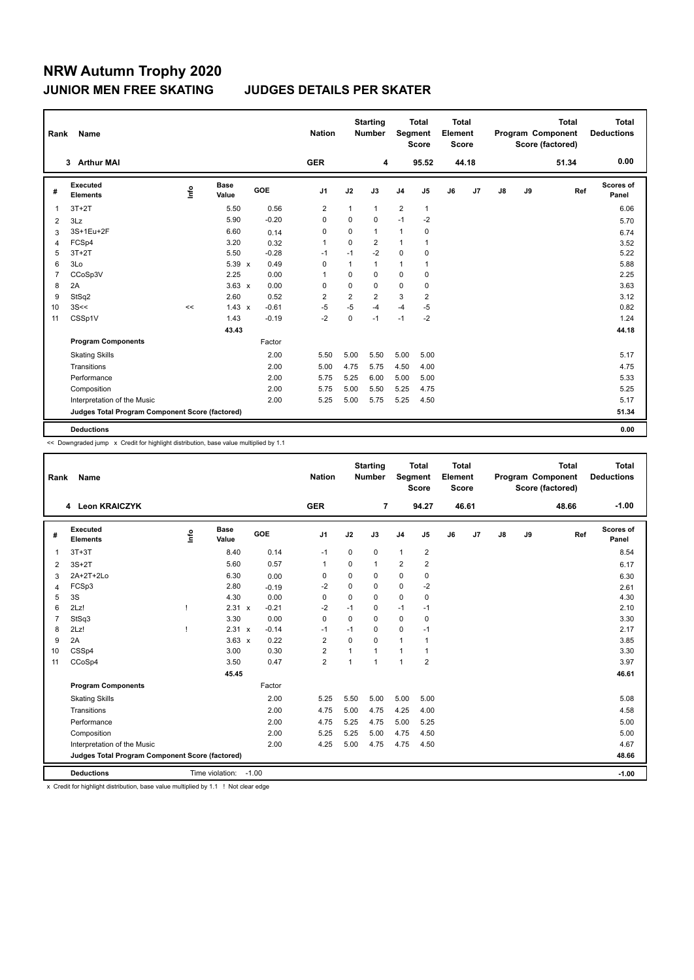| Rank           | Name                                            |      |                      |         | <b>Nation</b>  |                | <b>Starting</b><br><b>Number</b> | Segment        | <b>Total</b><br><b>Score</b> | <b>Total</b><br>Element<br><b>Score</b> |                |               |    | <b>Total</b><br>Program Component<br>Score (factored) | <b>Total</b><br><b>Deductions</b> |
|----------------|-------------------------------------------------|------|----------------------|---------|----------------|----------------|----------------------------------|----------------|------------------------------|-----------------------------------------|----------------|---------------|----|-------------------------------------------------------|-----------------------------------|
|                | <b>Arthur MAI</b><br>3                          |      |                      |         | <b>GER</b>     |                | 4                                |                | 95.52                        |                                         | 44.18          |               |    | 51.34                                                 | 0.00                              |
| #              | Executed<br><b>Elements</b>                     | lnfo | <b>Base</b><br>Value | GOE     | J <sub>1</sub> | J2             | J3                               | J <sub>4</sub> | J <sub>5</sub>               | J6                                      | J <sub>7</sub> | $\mathsf{J}8$ | J9 | Ref                                                   | Scores of<br>Panel                |
| $\overline{1}$ | $3T+2T$                                         |      | 5.50                 | 0.56    | $\overline{2}$ | $\mathbf{1}$   | $\mathbf{1}$                     | $\overline{2}$ | $\mathbf{1}$                 |                                         |                |               |    |                                                       | 6.06                              |
| 2              | 3Lz                                             |      | 5.90                 | $-0.20$ | $\Omega$       | $\Omega$       | 0                                | $-1$           | $-2$                         |                                         |                |               |    |                                                       | 5.70                              |
| 3              | 3S+1Eu+2F                                       |      | 6.60                 | 0.14    | 0              | 0              | 1                                | $\mathbf{1}$   | 0                            |                                         |                |               |    |                                                       | 6.74                              |
| 4              | FCSp4                                           |      | 3.20                 | 0.32    | $\mathbf{1}$   | $\mathbf 0$    | $\overline{2}$                   | $\mathbf{1}$   | 1                            |                                         |                |               |    |                                                       | 3.52                              |
| 5              | $3T+2T$                                         |      | 5.50                 | $-0.28$ | $-1$           | $-1$           | $-2$                             | 0              | 0                            |                                         |                |               |    |                                                       | 5.22                              |
| 6              | 3Lo                                             |      | 5.39 x               | 0.49    | $\mathbf 0$    | $\mathbf{1}$   | 1                                | $\mathbf{1}$   | $\mathbf{1}$                 |                                         |                |               |    |                                                       | 5.88                              |
| $\overline{7}$ | CCoSp3V                                         |      | 2.25                 | 0.00    | $\mathbf{1}$   | 0              | $\Omega$                         | 0              | 0                            |                                         |                |               |    |                                                       | 2.25                              |
| 8              | 2A                                              |      | $3.63 \times$        | 0.00    | 0              | 0              | 0                                | $\mathbf 0$    | 0                            |                                         |                |               |    |                                                       | 3.63                              |
| 9              | StSq2                                           |      | 2.60                 | 0.52    | 2              | $\overline{2}$ | $\overline{2}$                   | 3              | $\overline{2}$               |                                         |                |               |    |                                                       | 3.12                              |
| 10             | 3S<<                                            | <<   | $1.43 \times$        | $-0.61$ | $-5$           | $-5$           | $-4$                             | $-4$           | $-5$                         |                                         |                |               |    |                                                       | 0.82                              |
| 11             | CSSp1V                                          |      | 1.43                 | $-0.19$ | $-2$           | 0              | $-1$                             | $-1$           | $-2$                         |                                         |                |               |    |                                                       | 1.24                              |
|                |                                                 |      | 43.43                |         |                |                |                                  |                |                              |                                         |                |               |    |                                                       | 44.18                             |
|                | <b>Program Components</b>                       |      |                      | Factor  |                |                |                                  |                |                              |                                         |                |               |    |                                                       |                                   |
|                | <b>Skating Skills</b>                           |      |                      | 2.00    | 5.50           | 5.00           | 5.50                             | 5.00           | 5.00                         |                                         |                |               |    |                                                       | 5.17                              |
|                | Transitions                                     |      |                      | 2.00    | 5.00           | 4.75           | 5.75                             | 4.50           | 4.00                         |                                         |                |               |    |                                                       | 4.75                              |
|                | Performance                                     |      |                      | 2.00    | 5.75           | 5.25           | 6.00                             | 5.00           | 5.00                         |                                         |                |               |    |                                                       | 5.33                              |
|                | Composition                                     |      |                      | 2.00    | 5.75           | 5.00           | 5.50                             | 5.25           | 4.75                         |                                         |                |               |    |                                                       | 5.25                              |
|                | Interpretation of the Music                     |      |                      | 2.00    | 5.25           | 5.00           | 5.75                             | 5.25           | 4.50                         |                                         |                |               |    |                                                       | 5.17                              |
|                | Judges Total Program Component Score (factored) |      |                      |         |                |                |                                  |                |                              |                                         |                |               |    |                                                       | 51.34                             |
|                | <b>Deductions</b>                               |      |                      |         |                |                |                                  |                |                              |                                         |                |               |    |                                                       | 0.00                              |

<< Downgraded jump x Credit for highlight distribution, base value multiplied by 1.1

| Rank           | Name                                            |      |                      |            | <b>Nation</b>  |                | <b>Starting</b><br><b>Number</b> | Segment        | <b>Total</b><br><b>Score</b> | <b>Total</b><br>Element<br><b>Score</b> |       |               |    | <b>Total</b><br>Program Component<br>Score (factored) | <b>Total</b><br><b>Deductions</b> |
|----------------|-------------------------------------------------|------|----------------------|------------|----------------|----------------|----------------------------------|----------------|------------------------------|-----------------------------------------|-------|---------------|----|-------------------------------------------------------|-----------------------------------|
|                | 4 Leon KRAICZYK                                 |      |                      |            | <b>GER</b>     |                | $\overline{7}$                   |                | 94.27                        |                                         | 46.61 |               |    | 48.66                                                 | $-1.00$                           |
| #              | Executed<br><b>Elements</b>                     | Lnfo | <b>Base</b><br>Value | <b>GOE</b> | J <sub>1</sub> | J2             | J3                               | J <sub>4</sub> | J5                           | J6                                      | J7    | $\mathsf{J}8$ | J9 | Ref                                                   | Scores of<br>Panel                |
| $\mathbf{1}$   | $3T+3T$                                         |      | 8.40                 | 0.14       | $-1$           | 0              | 0                                | $\mathbf{1}$   | $\overline{\mathbf{c}}$      |                                         |       |               |    |                                                       | 8.54                              |
| 2              | $3S+2T$                                         |      | 5.60                 | 0.57       | 1              | $\Omega$       | 1                                | $\overline{2}$ | $\overline{2}$               |                                         |       |               |    |                                                       | 6.17                              |
| 3              | 2A+2T+2Lo                                       |      | 6.30                 | 0.00       | 0              | 0              | 0                                | 0              | 0                            |                                         |       |               |    |                                                       | 6.30                              |
| 4              | FCSp3                                           |      | 2.80                 | $-0.19$    | -2             | 0              | 0                                | 0              | $-2$                         |                                         |       |               |    |                                                       | 2.61                              |
| 5              | 3S                                              |      | 4.30                 | 0.00       | 0              | $\Omega$       | 0                                | $\mathbf 0$    | 0                            |                                         |       |               |    |                                                       | 4.30                              |
| 6              | 2Lz!                                            | ı    | $2.31 \times$        | $-0.21$    | $-2$           | $-1$           | 0                                | $-1$           | $-1$                         |                                         |       |               |    |                                                       | 2.10                              |
| $\overline{7}$ | StSq3                                           |      | 3.30                 | 0.00       | $\Omega$       | $\Omega$       | 0                                | $\Omega$       | 0                            |                                         |       |               |    |                                                       | 3.30                              |
| 8              | 2Lz!                                            | ı    | 2.31 x               | $-0.14$    | -1             | $-1$           | 0                                | $\pmb{0}$      | $-1$                         |                                         |       |               |    |                                                       | 2.17                              |
| 9              | 2A                                              |      | $3.63 \times$        | 0.22       | $\overline{2}$ | $\Omega$       | 0                                | $\mathbf{1}$   | 1                            |                                         |       |               |    |                                                       | 3.85                              |
| 10             | CSSp4                                           |      | 3.00                 | 0.30       | $\overline{2}$ | 1              | 1                                | $\overline{1}$ | 1                            |                                         |       |               |    |                                                       | 3.30                              |
| 11             | CCoSp4                                          |      | 3.50                 | 0.47       | $\overline{2}$ | $\overline{1}$ | 1                                | $\overline{1}$ | $\overline{2}$               |                                         |       |               |    |                                                       | 3.97                              |
|                |                                                 |      | 45.45                |            |                |                |                                  |                |                              |                                         |       |               |    |                                                       | 46.61                             |
|                | <b>Program Components</b>                       |      |                      | Factor     |                |                |                                  |                |                              |                                         |       |               |    |                                                       |                                   |
|                | <b>Skating Skills</b>                           |      |                      | 2.00       | 5.25           | 5.50           | 5.00                             | 5.00           | 5.00                         |                                         |       |               |    |                                                       | 5.08                              |
|                | Transitions                                     |      |                      | 2.00       | 4.75           | 5.00           | 4.75                             | 4.25           | 4.00                         |                                         |       |               |    |                                                       | 4.58                              |
|                | Performance                                     |      |                      | 2.00       | 4.75           | 5.25           | 4.75                             | 5.00           | 5.25                         |                                         |       |               |    |                                                       | 5.00                              |
|                | Composition                                     |      |                      | 2.00       | 5.25           | 5.25           | 5.00                             | 4.75           | 4.50                         |                                         |       |               |    |                                                       | 5.00                              |
|                | Interpretation of the Music                     |      |                      | 2.00       | 4.25           | 5.00           | 4.75                             | 4.75           | 4.50                         |                                         |       |               |    |                                                       | 4.67                              |
|                | Judges Total Program Component Score (factored) |      |                      |            |                |                |                                  |                |                              |                                         |       |               |    |                                                       | 48.66                             |
|                | <b>Deductions</b>                               |      | Time violation:      | $-1.00$    |                |                |                                  |                |                              |                                         |       |               |    |                                                       | $-1.00$                           |

x Credit for highlight distribution, base value multiplied by 1.1 ! Not clear edge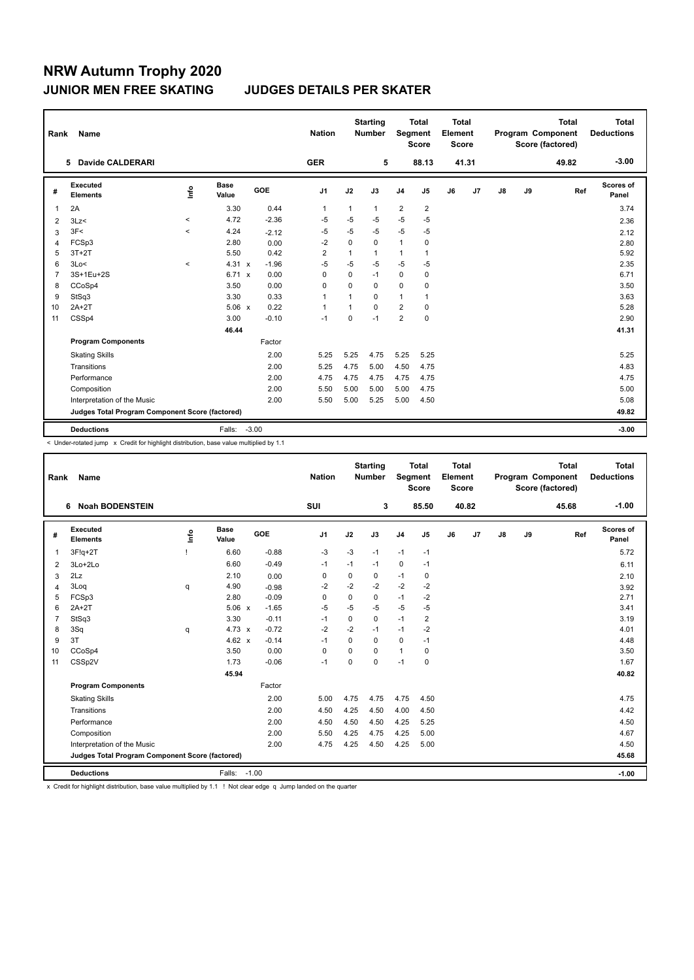| Rank           | Name                                            |         |                      |            | <b>Nation</b>  |              | <b>Starting</b><br><b>Number</b> | Segment        | Total<br><b>Score</b> | Total<br>Element<br><b>Score</b> |       |               |    | <b>Total</b><br>Program Component<br>Score (factored) | Total<br><b>Deductions</b> |
|----------------|-------------------------------------------------|---------|----------------------|------------|----------------|--------------|----------------------------------|----------------|-----------------------|----------------------------------|-------|---------------|----|-------------------------------------------------------|----------------------------|
|                | 5 Davide CALDERARI                              |         |                      |            | <b>GER</b>     |              | 5                                |                | 88.13                 |                                  | 41.31 |               |    | 49.82                                                 | $-3.00$                    |
| #              | <b>Executed</b><br><b>Elements</b>              | ١nf٥    | <b>Base</b><br>Value | <b>GOE</b> | J <sub>1</sub> | J2           | J3                               | J <sub>4</sub> | J <sub>5</sub>        | J6                               | J7    | $\mathsf{J}8$ | J9 | Ref                                                   | Scores of<br>Panel         |
| 1              | 2A                                              |         | 3.30                 | 0.44       | $\mathbf{1}$   | $\mathbf{1}$ | $\mathbf{1}$                     | 2              | $\overline{2}$        |                                  |       |               |    |                                                       | 3.74                       |
| 2              | 3Lz<                                            | $\,<$   | 4.72                 | $-2.36$    | $-5$           | $-5$         | $-5$                             | $-5$           | $-5$                  |                                  |       |               |    |                                                       | 2.36                       |
| 3              | 3F<                                             | $\,<\,$ | 4.24                 | $-2.12$    | $-5$           | $-5$         | $-5$                             | $-5$           | $-5$                  |                                  |       |               |    |                                                       | 2.12                       |
| $\overline{4}$ | FCSp3                                           |         | 2.80                 | 0.00       | $-2$           | $\Omega$     | $\mathbf 0$                      | $\mathbf{1}$   | 0                     |                                  |       |               |    |                                                       | 2.80                       |
| 5              | $3T+2T$                                         |         | 5.50                 | 0.42       | $\overline{2}$ | 1            | $\mathbf{1}$                     | 1              | 1                     |                                  |       |               |    |                                                       | 5.92                       |
| 6              | 3Lo<                                            | $\,<$   | 4.31 $\times$        | $-1.96$    | $-5$           | $-5$         | $-5$                             | $-5$           | $-5$                  |                                  |       |               |    |                                                       | 2.35                       |
| $\overline{7}$ | 3S+1Eu+2S                                       |         | 6.71<br>$\mathsf{x}$ | 0.00       | 0              | $\mathbf 0$  | $-1$                             | $\mathbf 0$    | 0                     |                                  |       |               |    |                                                       | 6.71                       |
| 8              | CCoSp4                                          |         | 3.50                 | 0.00       | 0              | $\Omega$     | 0                                | $\mathbf 0$    | 0                     |                                  |       |               |    |                                                       | 3.50                       |
| 9              | StSq3                                           |         | 3.30                 | 0.33       | $\overline{1}$ | 1            | $\Omega$                         | $\mathbf{1}$   | 1                     |                                  |       |               |    |                                                       | 3.63                       |
| 10             | $2A+2T$                                         |         | 5.06 x               | 0.22       | $\overline{1}$ | $\mathbf{1}$ | $\Omega$                         | $\overline{2}$ | 0                     |                                  |       |               |    |                                                       | 5.28                       |
| 11             | CSSp4                                           |         | 3.00                 | $-0.10$    | $-1$           | $\mathbf 0$  | $-1$                             | $\overline{2}$ | $\mathbf 0$           |                                  |       |               |    |                                                       | 2.90                       |
|                |                                                 |         | 46.44                |            |                |              |                                  |                |                       |                                  |       |               |    |                                                       | 41.31                      |
|                | <b>Program Components</b>                       |         |                      | Factor     |                |              |                                  |                |                       |                                  |       |               |    |                                                       |                            |
|                | <b>Skating Skills</b>                           |         |                      | 2.00       | 5.25           | 5.25         | 4.75                             | 5.25           | 5.25                  |                                  |       |               |    |                                                       | 5.25                       |
|                | Transitions                                     |         |                      | 2.00       | 5.25           | 4.75         | 5.00                             | 4.50           | 4.75                  |                                  |       |               |    |                                                       | 4.83                       |
|                | Performance                                     |         |                      | 2.00       | 4.75           | 4.75         | 4.75                             | 4.75           | 4.75                  |                                  |       |               |    |                                                       | 4.75                       |
|                | Composition                                     |         |                      | 2.00       | 5.50           | 5.00         | 5.00                             | 5.00           | 4.75                  |                                  |       |               |    |                                                       | 5.00                       |
|                | Interpretation of the Music                     |         |                      | 2.00       | 5.50           | 5.00         | 5.25                             | 5.00           | 4.50                  |                                  |       |               |    |                                                       | 5.08                       |
|                | Judges Total Program Component Score (factored) |         |                      |            |                |              |                                  |                |                       |                                  |       |               |    |                                                       | 49.82                      |
|                | <b>Deductions</b>                               |         | Falls:               | $-3.00$    |                |              |                                  |                |                       |                                  |       |               |    |                                                       | $-3.00$                    |

< Under-rotated jump x Credit for highlight distribution, base value multiplied by 1.1

| Rank           | <b>Name</b>                                     |      |                      |         | <b>Nation</b>  |          | <b>Starting</b><br><b>Number</b> | Segment        | <b>Total</b><br><b>Score</b> | <b>Total</b><br>Element<br><b>Score</b> |       |               |    | <b>Total</b><br>Program Component<br>Score (factored) | <b>Total</b><br><b>Deductions</b> |
|----------------|-------------------------------------------------|------|----------------------|---------|----------------|----------|----------------------------------|----------------|------------------------------|-----------------------------------------|-------|---------------|----|-------------------------------------------------------|-----------------------------------|
|                | <b>Noah BODENSTEIN</b><br>6                     |      |                      |         | <b>SUI</b>     |          | 3                                |                | 85.50                        |                                         | 40.82 |               |    | 45.68                                                 | $-1.00$                           |
| #              | Executed<br><b>Elements</b>                     | lnfo | <b>Base</b><br>Value | GOE     | J <sub>1</sub> | J2       | J3                               | J <sub>4</sub> | J5                           | J6                                      | J7    | $\mathsf{J}8$ | J9 | Ref                                                   | Scores of<br>Panel                |
| $\overline{1}$ | $3F!q+2T$                                       |      | 6.60                 | $-0.88$ | $-3$           | $-3$     | $-1$                             | $-1$           | $-1$                         |                                         |       |               |    |                                                       | 5.72                              |
| 2              | 3Lo+2Lo                                         |      | 6.60                 | $-0.49$ | $-1$           | $-1$     | $-1$                             | 0              | $-1$                         |                                         |       |               |    |                                                       | 6.11                              |
| 3              | 2Lz                                             |      | 2.10                 | 0.00    | 0              | 0        | 0                                | $-1$           | 0                            |                                         |       |               |    |                                                       | 2.10                              |
| 4              | 3Loq                                            | q    | 4.90                 | $-0.98$ | -2             | $-2$     | $-2$                             | $-2$           | $-2$                         |                                         |       |               |    |                                                       | 3.92                              |
| 5              | FCSp3                                           |      | 2.80                 | $-0.09$ | $\mathbf 0$    | $\Omega$ | 0                                | $-1$           | $-2$                         |                                         |       |               |    |                                                       | 2.71                              |
| 6              | $2A+2T$                                         |      | $5.06 \times$        | $-1.65$ | -5             | $-5$     | $-5$                             | $-5$           | $-5$                         |                                         |       |               |    |                                                       | 3.41                              |
| $\overline{7}$ | StSq3                                           |      | 3.30                 | $-0.11$ | $-1$           | $\Omega$ | $\Omega$                         | $-1$           | $\overline{2}$               |                                         |       |               |    |                                                       | 3.19                              |
| 8              | 3Sq                                             | q    | 4.73 $\times$        | $-0.72$ | $-2$           | $-2$     | $-1$                             | $-1$           | $-2$                         |                                         |       |               |    |                                                       | 4.01                              |
| 9              | 3T                                              |      | 4.62 $x$             | $-0.14$ | $-1$           | $\Omega$ | $\Omega$                         | 0              | $-1$                         |                                         |       |               |    |                                                       | 4.48                              |
| 10             | CCoSp4                                          |      | 3.50                 | 0.00    | 0              | $\Omega$ | $\Omega$                         | $\mathbf{1}$   | 0                            |                                         |       |               |    |                                                       | 3.50                              |
| 11             | CSSp2V                                          |      | 1.73                 | $-0.06$ | $-1$           | $\Omega$ | $\Omega$                         | $-1$           | $\Omega$                     |                                         |       |               |    |                                                       | 1.67                              |
|                |                                                 |      | 45.94                |         |                |          |                                  |                |                              |                                         |       |               |    |                                                       | 40.82                             |
|                | <b>Program Components</b>                       |      |                      | Factor  |                |          |                                  |                |                              |                                         |       |               |    |                                                       |                                   |
|                | <b>Skating Skills</b>                           |      |                      | 2.00    | 5.00           | 4.75     | 4.75                             | 4.75           | 4.50                         |                                         |       |               |    |                                                       | 4.75                              |
|                | Transitions                                     |      |                      | 2.00    | 4.50           | 4.25     | 4.50                             | 4.00           | 4.50                         |                                         |       |               |    |                                                       | 4.42                              |
|                | Performance                                     |      |                      | 2.00    | 4.50           | 4.50     | 4.50                             | 4.25           | 5.25                         |                                         |       |               |    |                                                       | 4.50                              |
|                | Composition                                     |      |                      | 2.00    | 5.50           | 4.25     | 4.75                             | 4.25           | 5.00                         |                                         |       |               |    |                                                       | 4.67                              |
|                | Interpretation of the Music                     |      |                      | 2.00    | 4.75           | 4.25     | 4.50                             | 4.25           | 5.00                         |                                         |       |               |    |                                                       | 4.50                              |
|                | Judges Total Program Component Score (factored) |      |                      |         |                |          |                                  |                |                              |                                         |       |               |    |                                                       | 45.68                             |
|                | <b>Deductions</b>                               |      | Falls:               | $-1.00$ |                |          |                                  |                |                              |                                         |       |               |    |                                                       | $-1.00$                           |

x Credit for highlight distribution, base value multiplied by 1.1 ! Not clear edge q Jump landed on the quarter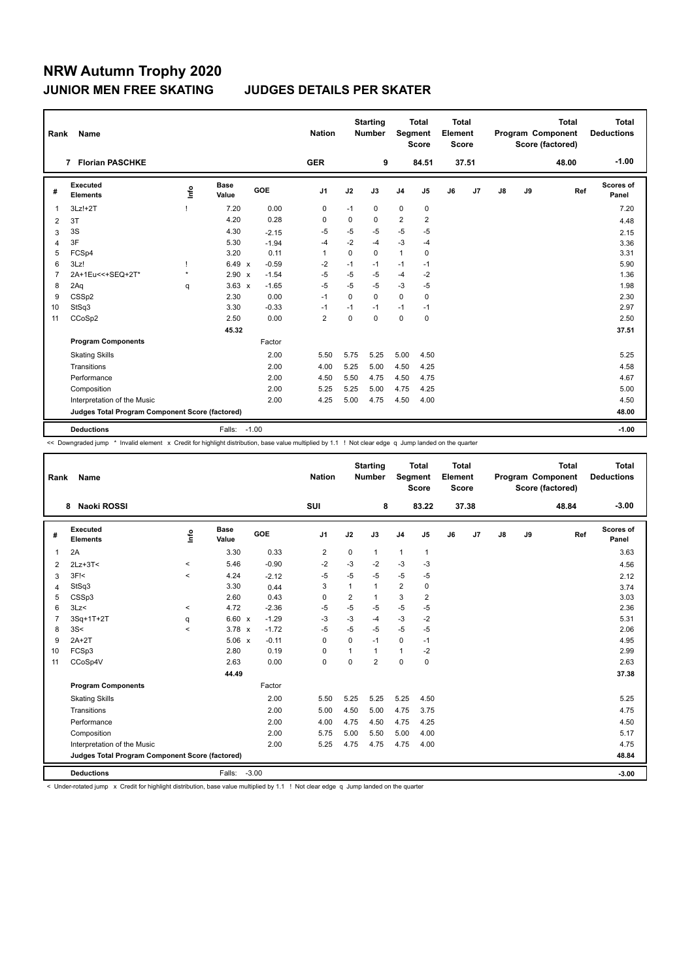| Rank           | <b>Name</b>                                     |         |                      |         | <b>Nation</b>  |          | <b>Starting</b><br><b>Number</b> | Segment        | <b>Total</b><br>Score | <b>Total</b><br>Element<br><b>Score</b> |       |               |    | <b>Total</b><br><b>Program Component</b><br>Score (factored) | <b>Total</b><br><b>Deductions</b> |
|----------------|-------------------------------------------------|---------|----------------------|---------|----------------|----------|----------------------------------|----------------|-----------------------|-----------------------------------------|-------|---------------|----|--------------------------------------------------------------|-----------------------------------|
|                | <b>Florian PASCHKE</b><br>7                     |         |                      |         | <b>GER</b>     |          | 9                                |                | 84.51                 |                                         | 37.51 |               |    | 48.00                                                        | $-1.00$                           |
| #              | Executed<br><b>Elements</b>                     | lnfo    | <b>Base</b><br>Value | GOE     | J <sub>1</sub> | J2       | J3                               | J <sub>4</sub> | J <sub>5</sub>        | J6                                      | J7    | $\mathsf{J}8$ | J9 | Ref                                                          | Scores of<br>Panel                |
| 1              | $3Lz!+2T$                                       |         | 7.20                 | 0.00    | 0              | $-1$     | 0                                | $\pmb{0}$      | 0                     |                                         |       |               |    |                                                              | 7.20                              |
| 2              | 3T                                              |         | 4.20                 | 0.28    | 0              | 0        | 0                                | $\overline{2}$ | 2                     |                                         |       |               |    |                                                              | 4.48                              |
| 3              | 3S                                              |         | 4.30                 | $-2.15$ | $-5$           | -5       | $-5$                             | $-5$           | -5                    |                                         |       |               |    |                                                              | 2.15                              |
| 4              | 3F                                              |         | 5.30                 | $-1.94$ | $-4$           | $-2$     | $-4$                             | $-3$           | $-4$                  |                                         |       |               |    |                                                              | 3.36                              |
| 5              | FCSp4                                           |         | 3.20                 | 0.11    | $\mathbf{1}$   | 0        | $\Omega$                         | $\mathbf{1}$   | 0                     |                                         |       |               |    |                                                              | 3.31                              |
| 6              | 3Lz!                                            | J.      | $6.49 \times$        | $-0.59$ | $-2$           | $-1$     | $-1$                             | $-1$           | $-1$                  |                                         |       |               |    |                                                              | 5.90                              |
| $\overline{7}$ | 2A+1Eu<<+SEQ+2T*                                | $\star$ | 2.90 x               | $-1.54$ | $-5$           | $-5$     | $-5$                             | $-4$           | $-2$                  |                                         |       |               |    |                                                              | 1.36                              |
| 8              | 2Aq                                             | q       | $3.63 \times$        | $-1.65$ | $-5$           | $-5$     | $-5$                             | $-3$           | $-5$                  |                                         |       |               |    |                                                              | 1.98                              |
| 9              | CSS <sub>p2</sub>                               |         | 2.30                 | 0.00    | $-1$           | $\Omega$ | $\Omega$                         | 0              | 0                     |                                         |       |               |    |                                                              | 2.30                              |
| 10             | StSq3                                           |         | 3.30                 | $-0.33$ | $-1$           | $-1$     | $-1$                             | $-1$           | $-1$                  |                                         |       |               |    |                                                              | 2.97                              |
| 11             | CCoSp2                                          |         | 2.50                 | 0.00    | $\overline{2}$ | $\Omega$ | 0                                | $\mathbf 0$    | 0                     |                                         |       |               |    |                                                              | 2.50                              |
|                |                                                 |         | 45.32                |         |                |          |                                  |                |                       |                                         |       |               |    |                                                              | 37.51                             |
|                | <b>Program Components</b>                       |         |                      | Factor  |                |          |                                  |                |                       |                                         |       |               |    |                                                              |                                   |
|                | <b>Skating Skills</b>                           |         |                      | 2.00    | 5.50           | 5.75     | 5.25                             | 5.00           | 4.50                  |                                         |       |               |    |                                                              | 5.25                              |
|                | Transitions                                     |         |                      | 2.00    | 4.00           | 5.25     | 5.00                             | 4.50           | 4.25                  |                                         |       |               |    |                                                              | 4.58                              |
|                | Performance                                     |         |                      | 2.00    | 4.50           | 5.50     | 4.75                             | 4.50           | 4.75                  |                                         |       |               |    |                                                              | 4.67                              |
|                | Composition                                     |         |                      | 2.00    | 5.25           | 5.25     | 5.00                             | 4.75           | 4.25                  |                                         |       |               |    |                                                              | 5.00                              |
|                | Interpretation of the Music                     |         |                      | 2.00    | 4.25           | 5.00     | 4.75                             | 4.50           | 4.00                  |                                         |       |               |    |                                                              | 4.50                              |
|                | Judges Total Program Component Score (factored) |         |                      |         |                |          |                                  |                |                       |                                         |       |               |    |                                                              | 48.00                             |
|                | <b>Deductions</b>                               |         | Falls:               | $-1.00$ |                |          |                                  |                |                       |                                         |       |               |    |                                                              | $-1.00$                           |

<< Downgraded jump \* Invalid element x Credit for highlight distribution, base value multiplied by 1.1 ! Not clear edge q Jump landed on the quarter

| Rank           | Name                                            |                                  |                      |            | <b>Nation</b>  |                | <b>Starting</b><br><b>Number</b> | <b>Segment</b> | <b>Total</b><br><b>Score</b> | Total<br>Element<br><b>Score</b> |       |               |    | <b>Total</b><br>Program Component<br>Score (factored) | <b>Total</b><br><b>Deductions</b> |
|----------------|-------------------------------------------------|----------------------------------|----------------------|------------|----------------|----------------|----------------------------------|----------------|------------------------------|----------------------------------|-------|---------------|----|-------------------------------------------------------|-----------------------------------|
|                | Naoki ROSSI<br>8                                |                                  |                      |            | SUI            |                | 8                                |                | 83.22                        |                                  | 37.38 |               |    | 48.84                                                 | $-3.00$                           |
| #              | Executed<br><b>Elements</b>                     | $\mathop{\mathsf{Irr}}\nolimits$ | <b>Base</b><br>Value | <b>GOE</b> | J <sub>1</sub> | J2             | J3                               | J <sub>4</sub> | J <sub>5</sub>               | J6                               | J7    | $\mathsf{J}8$ | J9 | Ref                                                   | Scores of<br>Panel                |
| 1              | 2A                                              |                                  | 3.30                 | 0.33       | 2              | 0              | $\mathbf{1}$                     | $\mathbf{1}$   | $\mathbf{1}$                 |                                  |       |               |    |                                                       | 3.63                              |
| 2              | $2Lz + 3T <$                                    | $\,<\,$                          | 5.46                 | $-0.90$    | $-2$           | $-3$           | $-2$                             | $-3$           | $-3$                         |                                  |       |               |    |                                                       | 4.56                              |
| 3              | $3F$ $<$                                        | $\prec$                          | 4.24                 | $-2.12$    | -5             | $-5$           | $-5$                             | $-5$           | -5                           |                                  |       |               |    |                                                       | 2.12                              |
| 4              | StSq3                                           |                                  | 3.30                 | 0.44       | 3              | 1              | $\mathbf{1}$                     | $\overline{2}$ | 0                            |                                  |       |               |    |                                                       | 3.74                              |
| 5              | CSSp3                                           |                                  | 2.60                 | 0.43       | 0              | $\overline{2}$ | $\mathbf{1}$                     | 3              | 2                            |                                  |       |               |    |                                                       | 3.03                              |
| 6              | 3Lz                                             | $\,<\,$                          | 4.72                 | $-2.36$    | $-5$           | $-5$           | $-5$                             | $-5$           | $-5$                         |                                  |       |               |    |                                                       | 2.36                              |
| $\overline{7}$ | 3Sq+1T+2T                                       | q                                | 6.60 x               | $-1.29$    | $-3$           | $-3$           | $-4$                             | $-3$           | $-2$                         |                                  |       |               |    |                                                       | 5.31                              |
| 8              | 3S<                                             | $\prec$                          | $3.78 \times$        | $-1.72$    | $-5$           | $-5$           | $-5$                             | $-5$           | $-5$                         |                                  |       |               |    |                                                       | 2.06                              |
| 9              | $2A+2T$                                         |                                  | 5.06 x               | $-0.11$    | $\Omega$       | $\Omega$       | $-1$                             | $\mathbf 0$    | $-1$                         |                                  |       |               |    |                                                       | 4.95                              |
| 10             | FCSp3                                           |                                  | 2.80                 | 0.19       | 0              |                | $\mathbf{1}$                     | $\mathbf{1}$   | $-2$                         |                                  |       |               |    |                                                       | 2.99                              |
| 11             | CCoSp4V                                         |                                  | 2.63                 | 0.00       | $\mathbf 0$    | $\Omega$       | $\overline{2}$                   | $\mathbf 0$    | $\mathbf 0$                  |                                  |       |               |    |                                                       | 2.63                              |
|                |                                                 |                                  | 44.49                |            |                |                |                                  |                |                              |                                  |       |               |    |                                                       | 37.38                             |
|                | <b>Program Components</b>                       |                                  |                      | Factor     |                |                |                                  |                |                              |                                  |       |               |    |                                                       |                                   |
|                | <b>Skating Skills</b>                           |                                  |                      | 2.00       | 5.50           | 5.25           | 5.25                             | 5.25           | 4.50                         |                                  |       |               |    |                                                       | 5.25                              |
|                | Transitions                                     |                                  |                      | 2.00       | 5.00           | 4.50           | 5.00                             | 4.75           | 3.75                         |                                  |       |               |    |                                                       | 4.75                              |
|                | Performance                                     |                                  |                      | 2.00       | 4.00           | 4.75           | 4.50                             | 4.75           | 4.25                         |                                  |       |               |    |                                                       | 4.50                              |
|                | Composition                                     |                                  |                      | 2.00       | 5.75           | 5.00           | 5.50                             | 5.00           | 4.00                         |                                  |       |               |    |                                                       | 5.17                              |
|                | Interpretation of the Music                     |                                  |                      | 2.00       | 5.25           | 4.75           | 4.75                             | 4.75           | 4.00                         |                                  |       |               |    |                                                       | 4.75                              |
|                | Judges Total Program Component Score (factored) |                                  |                      |            |                |                |                                  |                |                              |                                  |       |               |    |                                                       | 48.84                             |
|                | <b>Deductions</b>                               |                                  | Falls:               | $-3.00$    |                |                |                                  |                |                              |                                  |       |               |    |                                                       | $-3.00$                           |

< Under-rotated jump x Credit for highlight distribution, base value multiplied by 1.1 ! Not clear edge q Jump landed on the quarter